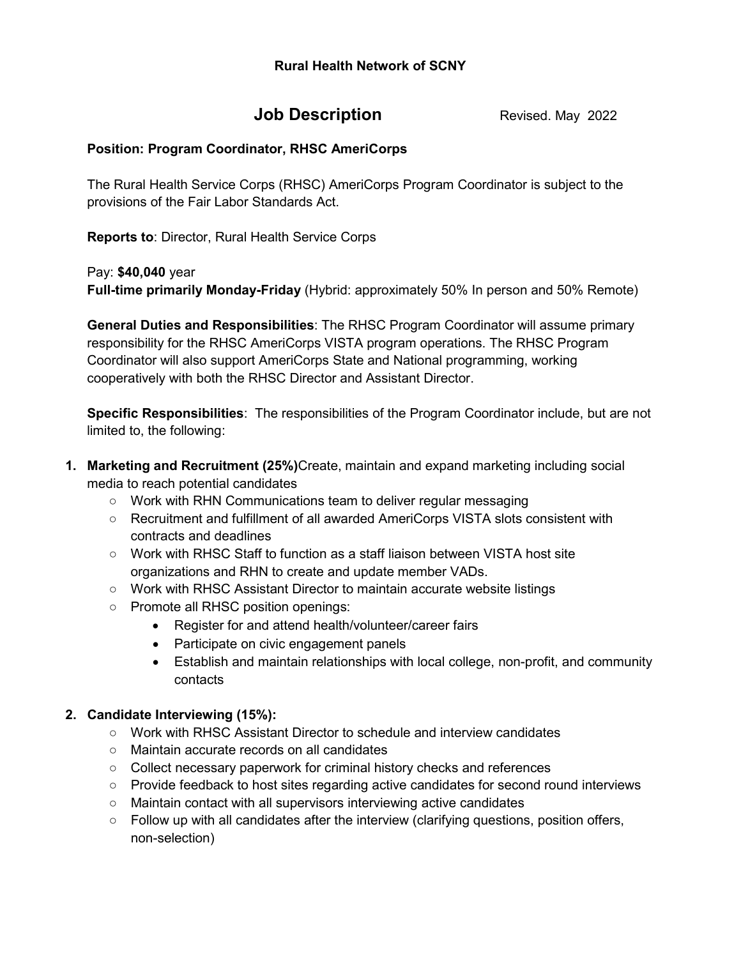# **Job Description Revised. May 2022**

## **Position: Program Coordinator, RHSC AmeriCorps**

The Rural Health Service Corps (RHSC) AmeriCorps Program Coordinator is subject to the provisions of the Fair Labor Standards Act.

**Reports to**: Director, Rural Health Service Corps

Pay: **\$40,040** year

**Full-time primarily Monday-Friday** (Hybrid: approximately 50% In person and 50% Remote)

**General Duties and Responsibilities**: The RHSC Program Coordinator will assume primary responsibility for the RHSC AmeriCorps VISTA program operations. The RHSC Program Coordinator will also support AmeriCorps State and National programming, working cooperatively with both the RHSC Director and Assistant Director.

**Specific Responsibilities**: The responsibilities of the Program Coordinator include, but are not limited to, the following:

- **1. Marketing and Recruitment (25%)**Create, maintain and expand marketing including social media to reach potential candidates
	- Work with RHN Communications team to deliver regular messaging
	- Recruitment and fulfillment of all awarded AmeriCorps VISTA slots consistent with contracts and deadlines
	- Work with RHSC Staff to function as a staff liaison between VISTA host site organizations and RHN to create and update member VADs.
	- Work with RHSC Assistant Director to maintain accurate website listings
	- Promote all RHSC position openings:
		- Register for and attend health/volunteer/career fairs
		- Participate on civic engagement panels
		- Establish and maintain relationships with local college, non-profit, and community contacts

## **2. Candidate Interviewing (15%):**

- Work with RHSC Assistant Director to schedule and interview candidates
- Maintain accurate records on all candidates
- Collect necessary paperwork for criminal history checks and references
- Provide feedback to host sites regarding active candidates for second round interviews
- Maintain contact with all supervisors interviewing active candidates
- $\circ$  Follow up with all candidates after the interview (clarifying questions, position offers, non-selection)